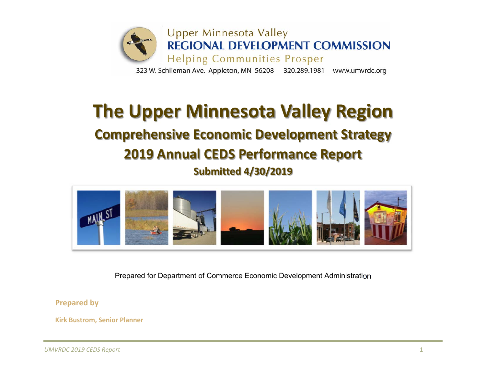

# **The Upper Minnesota Valley Region**

## **Comprehensive Economic Development Strategy 2019 Annual CEDS Performance Report**

**Submitted 4/30/2019**



Prepared for Department of Commerce Economic Development Administration

**Prepared by**

**Kirk Bustrom, Senior Planner**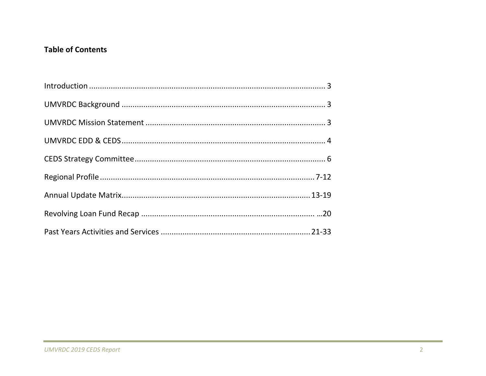### **Table of Contents**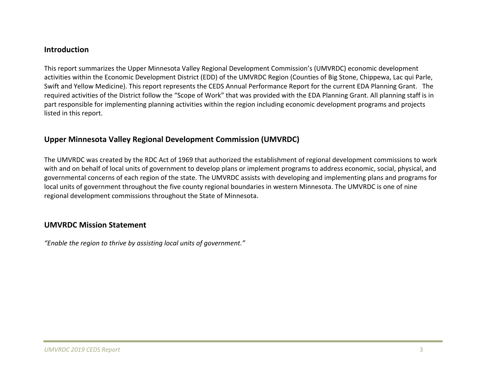### **Introduction**

This report summarizes the Upper Minnesota Valley Regional Development Commission's (UMVRDC) economic development activities within the Economic Development District (EDD) of the UMVRDC Region (Counties of Big Stone, Chippewa, Lac qui Parle, Swift and Yellow Medicine). This report represents the CEDS Annual Performance Report for the current EDA Planning Grant. The required activities of the District follow the "Scope of Work" that was provided with the EDA Planning Grant. All planning staff is in part responsible for implementing planning activities within the region including economic development programs and projects listed in this report.

### **Upper Minnesota Valley Regional Development Commission (UMVRDC)**

The UMVRDC was created by the RDC Act of 1969 that authorized the establishment of regional development commissions to work with and on behalf of local units of government to develop plans or implement programs to address economic, social, physical, and governmental concerns of each region of the state. The UMVRDC assists with developing and implementing plans and programs for local units of government throughout the five county regional boundaries in western Minnesota. The UMVRDC is one of nine regional development commissions throughout the State of Minnesota.

### **UMVRDC Mission Statement**

*"Enable the region to thrive by assisting local units of government."*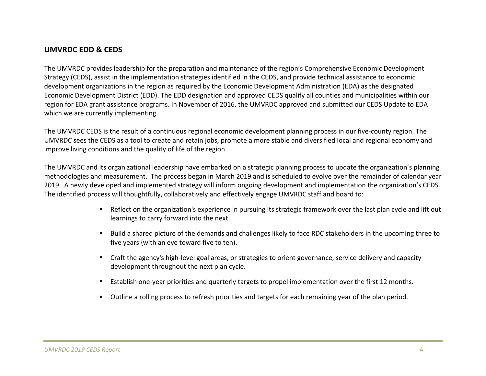### **UMVRDC EDD & CEDS**

The UMVRDC provides leadership for the preparation and maintenance of the region's Comprehensive Economic Development Strategy (CEDS), assist in the implementation strategies identified in the CEDS, and provide technical assistance to economic development organizations in the region as required by the Economic Development Administration (EDA) as the designated Economic Development District (EDD). The EDD designation and approved CEDS qualify all counties and municipalities within our region for EDA grant assistance programs. In November of 2016, the UMVRDC approved and submitted our CEDS Update to EDA which we are currently implementing.

The UMVRDC CEDS is the result of <sup>a</sup> continuous regional economic development planning process in our five‐county region. The UMVRDC sees the CEDS as <sup>a</sup> tool to create and retain jobs, promote <sup>a</sup> more stable and diversified local and regional economy and improve living conditions and the quality of life of the region.

The UMVRDC and its organizational leadership have embarked on <sup>a</sup> strategic planning process to update the organization's planning methodologies and measurement. The process began in March 2019 and is scheduled to evolve over the remainder of calendar year 2019. A newly developed and implemented strategy will inform ongoing development and implementation the organization's CEDS. The identified process will thoughtfully, collaboratively and effectively engage UMVRDC staff and board to:

- Reflect on the organization's experience in pursuing its strategic framework over the last plan cycle and lift out learnings to carry forward into the next.
- Build <sup>a</sup> shared picture of the demands and challenges likely to face RDC stakeholders in the upcoming three to five years {with an eye toward five to ten).
- Craft the agency's high-level goal areas, or strategies to orient governance, service delivery and capacity development throughout the next plan cycle.
- $\blacksquare$ ■ Establish one-year priorities and quarterly targets to propel implementation over the first 12 months.
- Outline <sup>a</sup> rolling process to refresh priorities and targets for each remaining year of the plan period.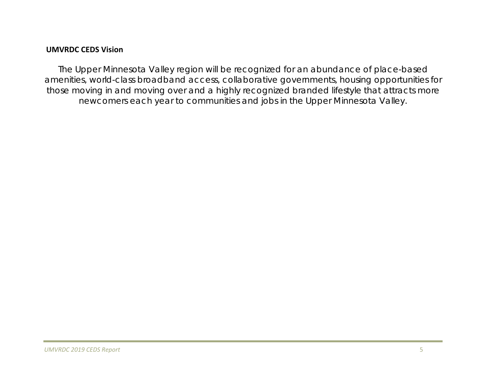### **UMVRDC CEDS Vision**

*The Upper Minnesota Valley region will be recognized for an abundance of place-based amenities, world-class broadband access, collaborative governments, housing opportunities for those moving in and moving over and a highly recognized branded lifestyle that attracts more newcomers each year to communities and jobs in the Upper Minnesota Valley.*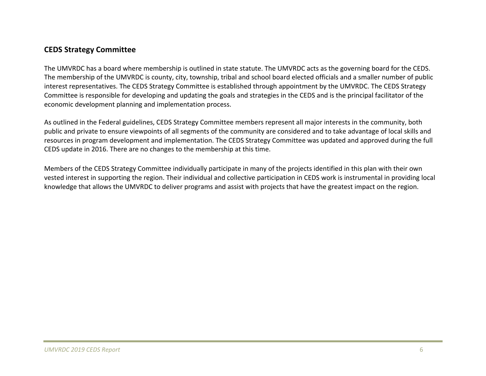### **CEDS Strategy Committee**

The UMVRDC has <sup>a</sup> board where membership is outlined in state statute. The UMVRDC acts as the governing board for the CEDS. The membership of the UMVRDC is county, city, township, tribal and school board elected officials and <sup>a</sup> smaller number of public interest representatives. The CEDS Strategy Committee is established through appointment by the UMVRDC. The CEDS Strategy Committee is responsible for developing and updating the goals and strategies in the CEDS and is the principal facilitator of the economic development planning and implementation process.

As outlined in the Federal guidelines, CEDS Strategy Committee members represent all major interests in the community, both public and private to ensure viewpoints of all segments of the community are considered and to take advantage of local skills and resources in program development and implementation. The CEDS Strategy Committee was updated and approved during the full CEDS update in 2016. There are no changes to the membership at this time.

Members of the CEDS Strategy Committee individually participate in many of the projects identified in this plan with their own vested interest in supporting the region. Their individual and collective participation in CEDS work is instrumental in providing local knowledge that allows the UMVRDC to deliver programs and assist with projects that have the greatest impact on the region.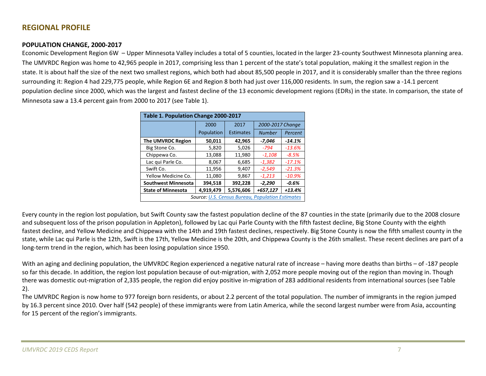### **REGIONAL PROFILE**

### **POPULATION CHANGE, 2000‐2017**

Economic Development Region 6W – Upper Minnesota Valley includes <sup>a</sup> total of 5 counties, located in the larger 23‐county Southwest Minnesota planning area. The UMVRDC Region was home to 42,965 people in 2017, comprising less than 1 percent of the state's total population, making it the smallest region in the state. It is about half the size of the next two smallest regions, which both had about 85,500 people in 2017, and it is considerably smaller than the three regions surrounding it: Region 4 had 229,775 people, while Region 6E and Region 8 both had just over 116,000 residents. In sum, the region saw a -14.1 percent population decline since 2000, which was the largest and fastest decline of the 13 economic development regions (EDRs) in the state. In comparison, the state of Minnesota saw <sup>a</sup> 13.4 percent gain from 2000 to 2017 (see Table 1).

| Table 1. Population Change 2000-2017                    |            |                  |                  |          |  |  |
|---------------------------------------------------------|------------|------------------|------------------|----------|--|--|
|                                                         | 2000       | 2017             | 2000-2017 Change |          |  |  |
|                                                         | Population | <b>Estimates</b> | <b>Number</b>    | Percent  |  |  |
| <b>The UMVRDC Region</b>                                | 50,011     | 42,965           | $-7,046$         | $-14.1%$ |  |  |
| Big Stone Co.                                           | 5,820      | 5,026            | $-794$           | $-13.6%$ |  |  |
| Chippewa Co.                                            | 13,088     | 11,980           | $-1,108$         | $-8.5%$  |  |  |
| Lac qui Parle Co.                                       | 8,067      | 6,685            | $-1,382$         | $-17.1%$ |  |  |
| Swift Co.                                               | 11,956     | 9,407            | $-2,549$         | $-21.3%$ |  |  |
| Yellow Medicine Co.                                     | 11,080     | 9,867            | $-1,213$         | $-10.9%$ |  |  |
| <b>Southwest Minnesota</b>                              | 394,518    | 392,228          | $-2,290$         | $-0.6%$  |  |  |
| <b>State of Minnesota</b>                               | 4,919,479  | 5,576,606        | +657,127         | $+13.4%$ |  |  |
| <b>Source: U.S. Census Bureau, Population Estimates</b> |            |                  |                  |          |  |  |

Every county in the region lost population, but Swift County saw the fastest population decline of the 87 counties in the state (primarily due to the 2008 closure and subsequent loss of the prison population in Appleton), followed by Lac qui Parle County with the fifth fastest decline, Big Stone County with the eighth fastest decline, and Yellow Medicine and Chippewa with the 14th and 19th fastest declines, respectively. Big Stone County is now the fifth smallest county in the state, while Lac qui Parle is the 12th, Swift is the 17th, Yellow Medicine is the 20th, and Chippewa County is the 26th smallest. These recent declines are part of <sup>a</sup> long‐term trend in the region, which has been losing population since 1950.

With an aging and declining population, the UMVRDC Region experienced <sup>a</sup> negative natural rate of increase – having more deaths than births – of ‐187 people so far this decade. In addition, the region lost population because of out‐migration, with 2,052 more people moving out of the region than moving in. Though there was domestic out‐migration of 2,335 people, the region did enjoy positive in‐migration of 283 additional residents from international sources (see Table 2).

The UMVRDC Region is now home to 977 foreign born residents, or about 2.2 percent of the total population. The number of immigrants in the region jumped by 16.3 percent since 2010. Over half (542 people) of these immigrants were from Latin America, while the second largest number were from Asia, accounting for 15 percent of the region's immigrants.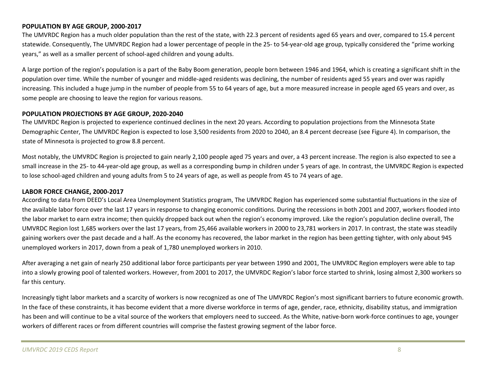### **POPULATION BY AGE GROUP, 2000‐2017**

The UMVRDC Region has <sup>a</sup> much older population than the rest of the state, with 22.3 percent of residents aged 65 years and over, compared to 15.4 percent statewide. Consequently, The UMVRDC Region had <sup>a</sup> lower percentage of people in the 25‐ to 54‐year‐old age group, typically considered the "prime working years," as well as a smaller percent of school-aged children and young adults.

A large portion of the region's population is <sup>a</sup> part of the Baby Boom generation, people born between 1946 and 1964, which is creating <sup>a</sup> significant shift in the population over time. While the number of younger and middle-aged residents was declining, the number of residents aged 55 years and over was rapidly increasing. This included <sup>a</sup> huge jump in the number of people from 55 to 64 years of age, but <sup>a</sup> more measured increase in people aged 65 years and over, as some people are choosing to leave the region for various reasons.

### **POPULATION PROJECTIONS BY AGE GROUP, 2020‐2040**

The UMVRDC Region is projected to experience continued declines in the next 20 years. According to population projections from the Minnesota State Demographic Center, The UMVRDC Region is expected to lose 3,500 residents from 2020 to 2040, an 8.4 percent decrease (see Figure 4). In comparison, the state of Minnesota is projected to grow 8.8 percent.

Most notably, the UMVRDC Region is projected to gain nearly 2,100 people aged 75 years and over, <sup>a</sup> 43 percent increase. The region is also expected to see <sup>a</sup> small increase in the 25‐ to 44‐year‐old age group, as well as <sup>a</sup> corresponding bump in children under 5 years of age. In contrast, the UMVRDC Region is expected to lose school‐aged children and young adults from 5 to 24 years of age, as well as people from 45 to 74 years of age.

### **LABOR FORCE CHANGE, 2000‐2017**

According to data from DEED's Local Area Unemployment Statistics program, The UMVRDC Region has experienced some substantial fluctuations in the size of the available labor force over the last 17 years in response to changing economic conditions. During the recessions in both 2001 and 2007, workers flooded into the labor market to earn extra income; then quickly dropped back out when the region's economy improved. Like the region's population decline overall, The UMVRDC Region lost 1,685 workers over the last 17 years, from 25,466 available workers in 2000 to 23,781 workers in 2017. In contrast, the state was steadily gaining workers over the past decade and <sup>a</sup> half. As the economy has recovered, the labor market in the region has been getting tighter, with only about 945 unemployed workers in 2017, down from <sup>a</sup> peak of 1,780 unemployed workers in 2010.

After averaging <sup>a</sup> net gain of nearly 250 additional labor force participants per year between 1990 and 2001, The UMVRDC Region employers were able to tap into <sup>a</sup> slowly growing pool of talented workers. However, from 2001 to 2017, the UMVRDC Region's labor force started to shrink, losing almost 2,300 workers so far this century.

Increasingly tight labor markets and <sup>a</sup> scarcity of workers is now recognized as one of The UMVRDC Region's most significant barriers to future economic growth. In the face of these constraints, it has become evident that <sup>a</sup> more diverse workforce in terms of age, gender, race, ethnicity, disability status, and immigration has been and will continue to be <sup>a</sup> vital source of the workers that employers need to succeed. As the White, native‐born work‐force continues to age, younger workers of different races or from different countries will comprise the fastest growing segment of the labor force.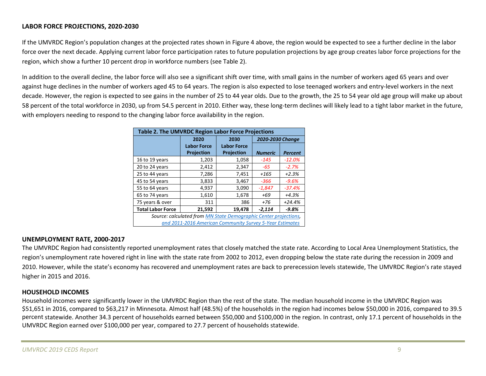### **LABOR FORCE PROJECTIONS, 2020‐2030**

If the UMVRDC Region's population changes at the projected rates shown in Figure 4 above, the region would be expected to see <sup>a</sup> further decline in the labor force over the next decade. Applying current labor force participation rates to future population projections by age group creates labor force projections for the region, which show <sup>a</sup> further 10 percent drop in workforce numbers (see Table 2).

In addition to the overall decline, the labor force will also see <sup>a</sup> significant shift over time, with small gains in the number of workers aged 65 years and over against huge declines in the number of workers aged 45 to 64 years. The region is also expected to lose teenaged workers and entry-level workers in the next decade. However, the region is expected to see gains in the number of 25 to 44 year olds. Due to the growth, the 25 to 54 year old age group will make up about 58 percent of the total workforce in 2030, up from 54.5 percent in 2010. Either way, these long‐term declines will likely lead to <sup>a</sup> tight labor market in the future, with employers needing to respond to the changing labor force availability in the region.

| <b>Table 2. The UMVRDC Region Labor Force Projections</b>           |                                                          |                    |                  |                |  |  |
|---------------------------------------------------------------------|----------------------------------------------------------|--------------------|------------------|----------------|--|--|
|                                                                     | 2020                                                     | 2030               | 2020-2030 Change |                |  |  |
|                                                                     | <b>Labor Force</b>                                       | <b>Labor Force</b> |                  |                |  |  |
|                                                                     | <b>Projection</b>                                        | Projection         | <b>Numeric</b>   | <b>Percent</b> |  |  |
| 16 to 19 years                                                      | 1,203                                                    | 1,058              | $-145$           | $-12.0%$       |  |  |
| 20 to 24 years                                                      | 2,412                                                    | 2,347              | -65              | $-2.7%$        |  |  |
| 25 to 44 years                                                      | 7,286                                                    | 7,451              | +165             | $+2.3%$        |  |  |
| 45 to 54 years                                                      | 3,833                                                    | 3,467              | -366             | $-9.6%$        |  |  |
| 55 to 64 years                                                      | 4,937                                                    | 3,090              | $-1,847$         | $-37.4%$       |  |  |
| 65 to 74 years                                                      | 1,610                                                    | 1,678              | +69              | $+4.3%$        |  |  |
| 75 years & over                                                     | 311                                                      | 386                | +76              | $+24.4%$       |  |  |
| <b>Total Labor Force</b><br>21,592<br>19,478<br>$-9.8%$<br>$-2,114$ |                                                          |                    |                  |                |  |  |
| Source: calculated from MN State Demographic Center projections,    |                                                          |                    |                  |                |  |  |
|                                                                     | and 2011-2016 American Community Survey 5-Year Estimates |                    |                  |                |  |  |

### **UNEMPLOYMENT RATE, 2000‐2017**

The UMVRDC Region had consistently reported unemployment rates that closely matched the state rate. According to Local Area Unemployment Statistics, the region's unemployment rate hovered right in line with the state rate from 2002 to 2012, even dropping below the state rate during the recession in 2009 and 2010. However, while the state's economy has recovered and unemployment rates are back to prerecession levels statewide, The UMVRDC Region's rate stayed higher in 2015 and 2016.

### **HOUSEHOLD INCOMES**

Household incomes were significantly lower in the UMVRDC Region than the rest of the state. The median household income in the UMVRDC Region was \$51,651 in 2016, compared to \$63,217 in Minnesota. Almost half (48.5%) of the households in the region had incomes below \$50,000 in 2016, compared to 39.5 percent statewide. Another 34.3 percent of households earned between \$50,000 and \$100,000 in the region. In contrast, only 17.1 percent of households in the UMVRDC Region earned over \$100,000 per year, compared to 27.7 percent of households statewide.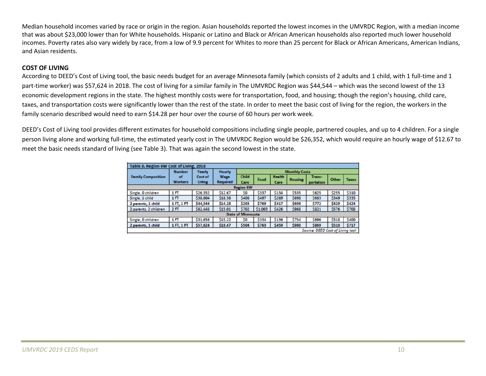Median household incomes varied by race or origin in the region. Asian households reported the lowest incomes in the UMVRDC Region, with <sup>a</sup> median income that was about \$23,000 lower than for White households. Hispanic or Latino and Black or African American households also reported much lower household incomes. Poverty rates also vary widely by race, from <sup>a</sup> low of 9.9 percent for Whites to more than 25 percent for Black or African Americans, American Indians, and Asian residents.

### **COST OF LIVING**

According to DEED's Cost of Living tool, the basic needs budget for an average Minnesota family (which consists of 2 adults and 1 child, with 1 full-time and 1 part-time worker) was \$57,624 in 2018. The cost of living for a similar family in The UMVRDC Region was \$44,544 – which was the second lowest of the 13 economic development regions in the state. The highest monthly costs were for transportation, food, and housing; though the region's housing, child care, taxes, and transportation costs were significantly lower than the rest of the state. In order to meet the basic cost of living for the region, the workers in the family scenario described would need to earn \$14.28 per hour over the course of 60 hours per work week.

DEED's Cost of Living tool provides different estimates for household compositions including single people, partnered couples, and up to 4 children. For <sup>a</sup> single person living alone and working full-time, the estimated yearly cost in The UMVRDC Region would be \$26,352, which would require an hourly wage of \$12.67 to meet the basic needs standard of living (see Table 3). That was again the second lowest in the state.

| Table 8. Region 6W Cost of Living, 2018 |                |          |                 |                           |                      |               |                |           |       |              |
|-----------------------------------------|----------------|----------|-----------------|---------------------------|----------------------|---------------|----------------|-----------|-------|--------------|
|                                         | <b>Number</b>  | Yearly   | <b>Hourly</b>   |                           | <b>Monthly Costs</b> |               |                |           |       |              |
| <b>Family Composition</b>               | of             | Cost of  | Wage            | <b>Child</b>              |                      | <b>Health</b> | <b>Housing</b> | Trans-    | Other | <b>Taxes</b> |
|                                         | <b>Workers</b> | Living   | <b>Required</b> | Care                      | Food                 | Care          |                | portation |       |              |
|                                         |                |          |                 | <b>Region 6W</b>          |                      |               |                |           |       |              |
| Single, 0 children                      | 1FT            | \$26,352 | \$12.67         | \$O                       | \$337                | \$134         | \$535          | \$625     | \$255 | \$310        |
| Single, 1 child                         | 1FT            | \$38,604 | \$18.56         | \$406                     | \$497                | \$269         | \$698          | \$663     | \$349 | \$335        |
| 2 parents, 1 child                      | 1FT, 1PT       | \$44,544 | \$14.28         | \$203                     | \$769                | \$417         | \$698          | \$772     | \$429 | \$424        |
| 2 parents, 2 children                   | 2FT            | \$62,448 | \$15.01         | \$702                     | \$1,003              | \$426         | \$968          | \$821     | \$576 | \$708        |
|                                         |                |          |                 | <b>State of Minnesota</b> |                      |               |                |           |       |              |
| Single, 0 children                      | 1FT            | \$31,656 | \$15.22         | \$0                       | \$334                | \$136         | \$754          | \$696     | \$318 | \$400        |
| 2 parents, 1 child                      | 1FT, 1PT       | \$57,624 | \$18.47         | \$504                     | \$763                | \$459         | \$980          | \$869     | \$510 | \$717        |
| Source: DEED Cost of Living tool        |                |          |                 |                           |                      |               |                |           |       |              |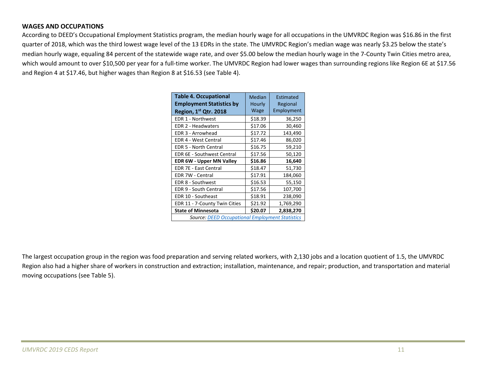### **WAGES AND OCCUPATIONS**

According to DEED's Occupational Employment Statistics program, the median hourly wage for all occupations in the UMVRDC Region was \$16.86 in the first quarter of 2018, which was the third lowest wage level of the 13 EDRs in the state. The UMVRDC Region's median wage was nearly \$3.25 below the state's median hourly wage, equaling 84 percent of the statewide wage rate, and over \$5.00 below the median hourly wage in the <sup>7</sup>‐County Twin Cities metro area, which would amount to over \$10,500 per year for <sup>a</sup> full‐time worker. The UMVRDC Region had lower wages than surrounding regions like Region 6E at \$17.56 and Region <sup>4</sup> at \$17.46, but higher wages than Region 8 at \$16.53 (see Table 4).

| <b>Table 4. Occupational</b><br><b>Employment Statistics by</b> | Median<br>Hourly | Estimated<br>Regional |  |  |  |
|-----------------------------------------------------------------|------------------|-----------------------|--|--|--|
| Region, 1st Qtr. 2018                                           | Wage             | Employment            |  |  |  |
| EDR 1 - Northwest                                               | \$18.39          | 36,250                |  |  |  |
| EDR 2 - Headwaters                                              | \$17.06          | 30,460                |  |  |  |
| EDR 3 - Arrowhead                                               | \$17.72          | 143,490               |  |  |  |
| <b>EDR 4 - West Central</b>                                     | \$17.46          | 86,020                |  |  |  |
| <b>EDR 5 - North Central</b>                                    | \$16.75          | 59,210                |  |  |  |
| <b>EDR 6E - Southwest Central</b>                               | \$17.56          | 50,120                |  |  |  |
| <b>EDR 6W - Upper MN Valley</b>                                 | \$16.86          | 16,640                |  |  |  |
| <b>EDR 7E - East Central</b>                                    | \$18.47          | 51,730                |  |  |  |
| EDR 7W - Central                                                | \$17.91          | 184,060               |  |  |  |
| EDR 8 - Southwest                                               | \$16.53          | 55,150                |  |  |  |
| EDR 9 - South Central                                           | \$17.56          | 107,700               |  |  |  |
| EDR 10 - Southeast                                              | \$18.91          | 238,090               |  |  |  |
| EDR 11 - 7-County Twin Cities                                   | \$21.92          | 1,769,290             |  |  |  |
| <b>State of Minnesota</b>                                       | \$20.07          | 2,838,270             |  |  |  |
| <b>Source: DEED Occupational Employment Statistics</b>          |                  |                       |  |  |  |

The largest occupation group in the region was food preparation and serving related workers, with 2,130 jobs and <sup>a</sup> location quotient of 1.5, the UMVRDC Region also had <sup>a</sup> higher share of workers in construction and extraction; installation, maintenance, and repair; production, and transportation and material moving occupations (see Table 5).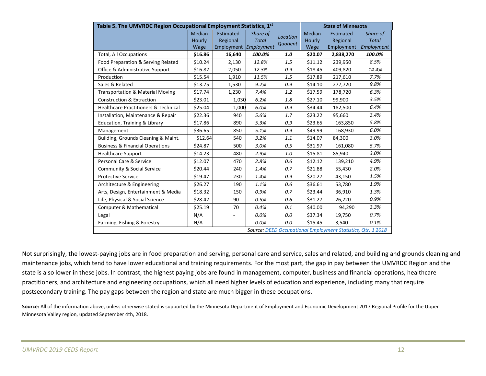| Table 5. The UMVRDC Region Occupational Employment Statistics, 1st |         |                          |              |          |         | <b>State of Minnesota</b>                                    |              |  |
|--------------------------------------------------------------------|---------|--------------------------|--------------|----------|---------|--------------------------------------------------------------|--------------|--|
|                                                                    | Median  | <b>Estimated</b>         | Share of     | Location | Median  | Estimated                                                    | Share of     |  |
|                                                                    | Hourly  | Regional                 | <b>Total</b> | Quotient | Hourly  | Regional                                                     | <b>Total</b> |  |
|                                                                    | Wage    | Employment Employment    |              |          | Wage    | Employment                                                   | Employment   |  |
| <b>Total, All Occupations</b>                                      | \$16.86 | 16,640                   | 100.0%       | 1.0      | \$20.07 | 2,838,270                                                    | 100.0%       |  |
| Food Preparation & Serving Related                                 | \$10.24 | 2,130                    | 12.8%        | 1.5      | \$11.12 | 239,950                                                      | 8.5%         |  |
| Office & Administrative Support                                    | \$16.82 | 2,050                    | 12.3%        | 0.9      | \$18.45 | 409,820                                                      | 14.4%        |  |
| Production                                                         | \$15.54 | 1,910                    | 11.5%        | 1.5      | \$17.89 | 217,610                                                      | 7.7%         |  |
| Sales & Related                                                    | \$13.75 | 1,530                    | 9.2%         | 0.9      | \$14.10 | 277,720                                                      | 9.8%         |  |
| <b>Transportation &amp; Material Moving</b>                        | \$17.74 | 1,230                    | 7.4%         | 1.2      | \$17.59 | 178,720                                                      | 6.3%         |  |
| <b>Construction &amp; Extraction</b>                               | \$23.01 | 1,030                    | 6.2%         | 1.8      | \$27.10 | 99,900                                                       | 3.5%         |  |
| <b>Healthcare Practitioners &amp; Technical</b>                    | \$25.04 | 1,000                    | 6.0%         | 0.9      | \$34.44 | 182,500                                                      | 6.4%         |  |
| Installation, Maintenance & Repair                                 | \$22.36 | 940                      | 5.6%         | 1.7      | \$23.22 | 95,660                                                       | 3.4%         |  |
| Education, Training & Library                                      | \$17.86 | 890                      | 5.3%         | 0.9      | \$23.65 | 163,850                                                      | 5.8%         |  |
| Management                                                         | \$36.65 | 850                      | 5.1%         | 0.9      | \$49.99 | 168,930                                                      | 6.0%         |  |
| Building, Grounds Cleaning & Maint.                                | \$12.64 | 540                      | 3.2%         | 1.1      | \$14.07 | 84,300                                                       | 3.0%         |  |
| <b>Business &amp; Financial Operations</b>                         | \$24.87 | 500                      | 3.0%         | 0.5      | \$31.97 | 161,080                                                      | 5.7%         |  |
| <b>Healthcare Support</b>                                          | \$14.23 | 480                      | 2.9%         | 1.0      | \$15.81 | 85,940                                                       | 3.0%         |  |
| Personal Care & Service                                            | \$12.07 | 470                      | 2.8%         | 0.6      | \$12.12 | 139,210                                                      | 4.9%         |  |
| Community & Social Service                                         | \$20.44 | 240                      | 1.4%         | 0.7      | \$21.88 | 55,430                                                       | 2.0%         |  |
| <b>Protective Service</b>                                          | \$19.47 | 230                      | 1.4%         | 0.9      | \$20.27 | 43,150                                                       | 1.5%         |  |
| Architecture & Engineering                                         | \$26.27 | 190                      | 1.1%         | 0.6      | \$36.61 | 53,780                                                       | 1.9%         |  |
| Arts, Design, Entertainment & Media                                | \$18.32 | 150                      | 0.9%         | 0.7      | \$23.44 | 36,910                                                       | 1.3%         |  |
| Life, Physical & Social Science                                    | \$28.42 | 90                       | 0.5%         | 0.6      | \$31.27 | 26,220                                                       | 0.9%         |  |
| <b>Computer &amp; Mathematical</b>                                 | \$25.19 | 70                       | 0.4%         | 0.1      | \$40.00 | 94,290                                                       | 3.3%         |  |
| Legal                                                              | N/A     | $\overline{\phantom{a}}$ | 0.0%         | 0.0      | \$37.34 | 19,750                                                       | 0.7%         |  |
| Farming, Fishing & Forestry                                        | N/A     |                          | 0.0%         | 0.0      | \$15.45 | 3,540                                                        | 0.1%         |  |
|                                                                    |         |                          |              |          |         | Source: DEED Occupational Employment Statistics, Qtr. 1 2018 |              |  |

Not surprisingly, the lowest-paying jobs are in food preparation and serving, personal care and service, sales and related, and building and grounds cleaning and maintenance jobs, which tend to have lower educational and training requirements. For the most part, the gap in pay between the UMVRDC Region and the state is also lower in these jobs. In contrast, the highest paying jobs are found in management, computer, business and financial operations, healthcare practitioners, and architecture and engineering occupations, which all need higher levels of education and experience, including many that require postsecondary training. The pay gaps between the region and state are much bigger in these occupations.

**Source:** All of the information above, unless otherwise stated is supported by the Minnesota Department of Employment and Economic Development 2017 Regional Profile for the Upper Minnesota Valley region, updated September 4th, 2018.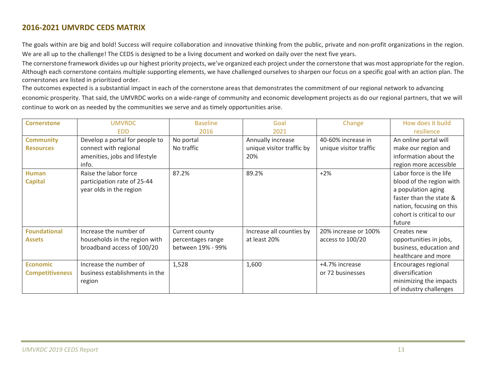### **2016‐2021 UMVRDC CEDS MATRIX**

The goals within are big and bold! Success will require collaboration and innovative thinking from the public, private and non‐profit organizations in the region. We are all up to the challenge! The CEDS is designed to be <sup>a</sup> living document and worked on daily over the next five years.

The cornerstone framework divides up our highest priority projects, we've organized each project under the cornerstone that was most appropriate for the region. Although each cornerstone contains multiple supporting elements, we have challenged ourselves to sharpen our focus on <sup>a</sup> specific goal with an action plan. The cornerstones are listed in prioritized order.

The outcomes expected is <sup>a</sup> substantial impact in each of the cornerstone areas that demonstrates the commitment of our regional network to advancing economic prosperity. That said, the UMVRDC works on <sup>a</sup> wide‐range of community and economic development projects as do our regional partners, that we will continue to work on as needed by the communities we serve and as timely opportunities arise.

| <b>Cornerstone</b>     | <b>UMVRDC</b>                  | <b>Baseline</b>   | Goal                      | Change                 | How does it build         |
|------------------------|--------------------------------|-------------------|---------------------------|------------------------|---------------------------|
|                        | <b>FDD</b>                     | 2016              | 2021                      |                        | resilience                |
| <b>Community</b>       | Develop a portal for people to | No portal         | Annually increase         | 40-60% increase in     | An online portal will     |
| <b>Resources</b>       | connect with regional          | No traffic        | unique visitor traffic by | unique visitor traffic | make our region and       |
|                        | amenities, jobs and lifestyle  |                   | 20%                       |                        | information about the     |
|                        | info.                          |                   |                           |                        | region more accessible    |
| Human                  | Raise the labor force          | 87.2%             | 89.2%                     | $+2%$                  | Labor force is the life   |
| <b>Capital</b>         | participation rate of 25-44    |                   |                           |                        | blood of the region with  |
|                        | year olds in the region        |                   |                           |                        | a population aging        |
|                        |                                |                   |                           |                        | faster than the state &   |
|                        |                                |                   |                           |                        | nation, focusing on this  |
|                        |                                |                   |                           |                        | cohort is critical to our |
|                        |                                |                   |                           |                        | future                    |
| <b>Foundational</b>    | Increase the number of         | Current county    | Increase all counties by  | 20% increase or 100%   | Creates new               |
| <b>Assets</b>          | households in the region with  | percentages range | at least 20%              | access to 100/20       | opportunities in jobs,    |
|                        | broadband access of 100/20     | between 19% - 99% |                           |                        | business, education and   |
|                        |                                |                   |                           |                        | healthcare and more       |
| <b>Economic</b>        | Increase the number of         | 1,528             | 1,600                     | +4.7% increase         | Encourages regional       |
| <b>Competitiveness</b> | business establishments in the |                   |                           | or 72 businesses       | diversification           |
|                        | region                         |                   |                           |                        | minimizing the impacts    |
|                        |                                |                   |                           |                        | of industry challenges    |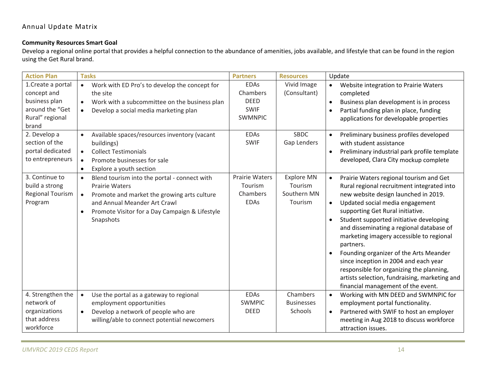### **Community Resources Smart Goal**

Develop <sup>a</sup> regional online portal that provides <sup>a</sup> helpful connection to the abundance of amenities, jobs available, and lifestyle that can be found in the region using the Get Rural brand.

| <b>Action Plan</b>                                                                                | <b>Tasks</b>                                                                                                                                                                                                                                               | <b>Partners</b>                                                         | <b>Resources</b>                                       | Update                                                                                                                                                                                                                                                                                                                                                                                                                                                                                                                                                                                                            |
|---------------------------------------------------------------------------------------------------|------------------------------------------------------------------------------------------------------------------------------------------------------------------------------------------------------------------------------------------------------------|-------------------------------------------------------------------------|--------------------------------------------------------|-------------------------------------------------------------------------------------------------------------------------------------------------------------------------------------------------------------------------------------------------------------------------------------------------------------------------------------------------------------------------------------------------------------------------------------------------------------------------------------------------------------------------------------------------------------------------------------------------------------------|
| 1. Create a portal<br>concept and<br>business plan<br>around the "Get<br>Rural" regional<br>brand | Work with ED Pro's to develop the concept for<br>$\bullet$<br>the site<br>Work with a subcommittee on the business plan<br>$\bullet$<br>Develop a social media marketing plan<br>$\bullet$                                                                 | <b>EDAs</b><br>Chambers<br><b>DEED</b><br><b>SWIF</b><br><b>SWMNPIC</b> | Vivid Image<br>(Consultant)                            | Website integration to Prairie Waters<br>$\bullet$<br>completed<br>Business plan development is in process<br>$\bullet$<br>Partial funding plan in place, funding<br>$\bullet$<br>applications for developable properties                                                                                                                                                                                                                                                                                                                                                                                         |
| 2. Develop a<br>section of the<br>portal dedicated<br>to entrepreneurs                            | Available spaces/resources inventory (vacant<br>$\bullet$<br>buildings)<br><b>Collect Testimonials</b><br>$\bullet$<br>Promote businesses for sale<br>$\bullet$<br>Explore a youth section<br>$\bullet$                                                    | <b>EDAs</b><br><b>SWIF</b>                                              | <b>SBDC</b><br>Gap Lenders                             | Preliminary business profiles developed<br>with student assistance<br>Preliminary industrial park profile template<br>developed, Clara City mockup complete                                                                                                                                                                                                                                                                                                                                                                                                                                                       |
| 3. Continue to<br>build a strong<br>Regional Tourism<br>Program                                   | Blend tourism into the portal - connect with<br>$\bullet$<br><b>Prairie Waters</b><br>Promote and market the growing arts culture<br>$\bullet$<br>and Annual Meander Art Crawl<br>Promote Visitor for a Day Campaign & Lifestyle<br>$\bullet$<br>Snapshots | <b>Prairie Waters</b><br>Tourism<br>Chambers<br><b>EDAs</b>             | <b>Explore MN</b><br>Tourism<br>Southern MN<br>Tourism | Prairie Waters regional tourism and Get<br>$\bullet$<br>Rural regional recruitment integrated into<br>new website design launched in 2019.<br>Updated social media engagement<br>$\bullet$<br>supporting Get Rural initiative.<br>Student supported initiative developing<br>$\bullet$<br>and disseminating a regional database of<br>marketing imagery accessible to regional<br>partners.<br>Founding organizer of the Arts Meander<br>since inception in 2004 and each year<br>responsible for organizing the planning,<br>artists selection, fundraising, marketing and<br>financial management of the event. |
| 4. Strengthen the<br>network of<br>organizations<br>that address<br>workforce                     | $\bullet$<br>Use the portal as a gateway to regional<br>employment opportunities<br>Develop a network of people who are<br>$\bullet$<br>willing/able to connect potential newcomers                                                                        | <b>EDAs</b><br><b>SWMPIC</b><br><b>DEED</b>                             | Chambers<br><b>Businesses</b><br>Schools               | Working with MN DEED and SWMNPIC for<br>$\bullet$<br>employment portal functionality.<br>Partnered with SWIF to host an employer<br>$\bullet$<br>meeting in Aug 2018 to discuss workforce<br>attraction issues.                                                                                                                                                                                                                                                                                                                                                                                                   |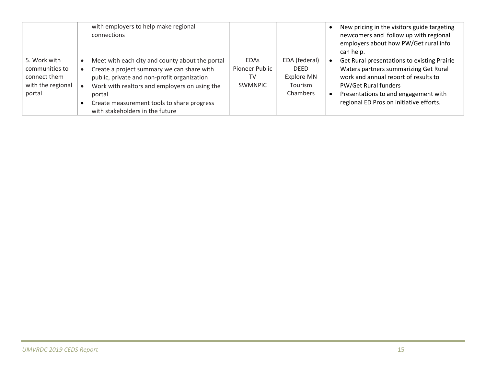|                                                                               | with employers to help make regional<br>connections                                                                                                                                                                                                                                      |                                                       |                                                                          | New pricing in the visitors guide targeting<br>newcomers and follow up with regional<br>employers about how PW/Get rural info<br>can help.                                                                                              |
|-------------------------------------------------------------------------------|------------------------------------------------------------------------------------------------------------------------------------------------------------------------------------------------------------------------------------------------------------------------------------------|-------------------------------------------------------|--------------------------------------------------------------------------|-----------------------------------------------------------------------------------------------------------------------------------------------------------------------------------------------------------------------------------------|
| 5. Work with<br>communities to<br>connect them<br>with the regional<br>portal | Meet with each city and county about the portal<br>Create a project summary we can share with<br>public, private and non-profit organization<br>Work with realtors and employers on using the<br>portal<br>Create measurement tools to share progress<br>with stakeholders in the future | <b>FDAs</b><br>Pioneer Public<br>TV<br><b>SWMNPIC</b> | EDA (federal)<br><b>DFFD</b><br>Explore MN<br><b>Tourism</b><br>Chambers | Get Rural presentations to existing Prairie<br>Waters partners summarizing Get Rural<br>work and annual report of results to<br>PW/Get Rural funders<br>Presentations to and engagement with<br>regional ED Pros on initiative efforts. |

m.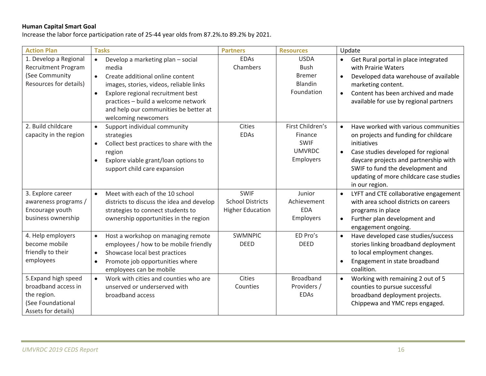### **Human Capital Smart Goal**

Increase the labor force participation rate of 25‐44 year olds from 87.2%.to 89.2% by 2021.

| <b>Action Plan</b>                                                                                     | <b>Tasks</b>                                                                                                                                                                                                                                                                                                 | <b>Partners</b>                                                   | <b>Resources</b>                                                         | Update                                                                                                                                                                                                                                                                                                  |
|--------------------------------------------------------------------------------------------------------|--------------------------------------------------------------------------------------------------------------------------------------------------------------------------------------------------------------------------------------------------------------------------------------------------------------|-------------------------------------------------------------------|--------------------------------------------------------------------------|---------------------------------------------------------------------------------------------------------------------------------------------------------------------------------------------------------------------------------------------------------------------------------------------------------|
| 1. Develop a Regional<br><b>Recruitment Program</b><br>(See Community<br>Resources for details)        | Develop a marketing plan - social<br>$\bullet$<br>media<br>Create additional online content<br>$\bullet$<br>images, stories, videos, reliable links<br>Explore regional recruitment best<br>$\bullet$<br>practices - build a welcome network<br>and help our communities be better at<br>welcoming newcomers | <b>EDAs</b><br>Chambers                                           | <b>USDA</b><br>Bush<br><b>Bremer</b><br>Blandin<br>Foundation            | Get Rural portal in place integrated<br>$\bullet$<br>with Prairie Waters<br>Developed data warehouse of available<br>$\bullet$<br>marketing content.<br>Content has been archived and made<br>$\bullet$<br>available for use by regional partners                                                       |
| 2. Build childcare<br>capacity in the region                                                           | Support individual community<br>$\bullet$<br>strategies<br>Collect best practices to share with the<br>$\bullet$<br>region<br>Explore viable grant/loan options to<br>support child care expansion                                                                                                           | <b>Cities</b><br><b>EDAs</b>                                      | First Children's<br>Finance<br><b>SWIF</b><br><b>UMVRDC</b><br>Employers | Have worked with various communities<br>$\bullet$<br>on projects and funding for childcare<br>initiatives<br>Case studies developed for regional<br>$\bullet$<br>daycare projects and partnership with<br>SWIF to fund the development and<br>updating of more childcare case studies<br>in our region. |
| 3. Explore career<br>awareness programs /<br>Encourage youth<br>business ownership                     | Meet with each of the 10 school<br>$\bullet$<br>districts to discuss the idea and develop<br>strategies to connect students to<br>ownership opportunities in the region                                                                                                                                      | <b>SWIF</b><br><b>School Districts</b><br><b>Higher Education</b> | Junior<br>Achievement<br><b>EDA</b><br>Employers                         | LYFT and CTE collaborative engagement<br>$\bullet$<br>with area school districts on careers<br>programs in place<br>Further plan development and<br>$\bullet$<br>engagement ongoing.                                                                                                                    |
| 4. Help employers<br>become mobile<br>friendly to their<br>employees                                   | Host a workshop on managing remote<br>$\bullet$<br>employees / how to be mobile friendly<br>Showcase local best practices<br>$\bullet$<br>Promote job opportunities where<br>$\bullet$<br>employees can be mobile                                                                                            | <b>SWMNPIC</b><br><b>DEED</b>                                     | ED Pro's<br><b>DEED</b>                                                  | Have developed case studies/success<br>$\bullet$<br>stories linking broadband deployment<br>to local employment changes.<br>Engagement in state broadband<br>coalition.                                                                                                                                 |
| 5. Expand high speed<br>broadband access in<br>the region.<br>(See Foundational<br>Assets for details) | Work with cities and counties who are<br>$\bullet$<br>unserved or underserved with<br>broadband access                                                                                                                                                                                                       | <b>Cities</b><br>Counties                                         | <b>Broadband</b><br>Providers /<br><b>EDAs</b>                           | Working with remaining 2 out of 5<br>$\bullet$<br>counties to pursue successful<br>broadband deployment projects.<br>Chippewa and YMC reps engaged.                                                                                                                                                     |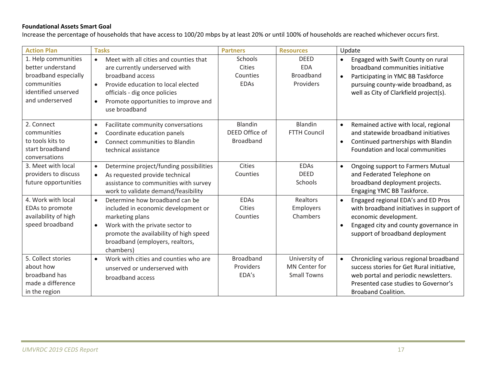### **Foundational Assets Smart Goal**

Increase the percentage of households that have access to 100/20 mbps by at least 20% or until 100% of households are reached whichever occurs first.

| <b>Action Plan</b>                                                                                                        | <b>Tasks</b>                                                                                                                                                                                                                                                        | <b>Partners</b>                               | <b>Resources</b>                                            | Update                                                                                                                                                                                                                |
|---------------------------------------------------------------------------------------------------------------------------|---------------------------------------------------------------------------------------------------------------------------------------------------------------------------------------------------------------------------------------------------------------------|-----------------------------------------------|-------------------------------------------------------------|-----------------------------------------------------------------------------------------------------------------------------------------------------------------------------------------------------------------------|
| 1. Help communities<br>better understand<br>broadband especially<br>communities<br>identified unserved<br>and underserved | Meet with all cities and counties that<br>$\bullet$<br>are currently underserved with<br>broadband access<br>Provide education to local elected<br>$\bullet$<br>officials - dig once policies<br>Promote opportunities to improve and<br>$\bullet$<br>use broadband | Schools<br>Cities<br>Counties<br><b>EDAs</b>  | <b>DEED</b><br><b>EDA</b><br><b>Broadband</b><br>Providers  | Engaged with Swift County on rural<br>$\bullet$<br>broadband communities initiative<br>Participating in YMC BB Taskforce<br>$\bullet$<br>pursuing county-wide broadband, as<br>well as City of Clarkfield project(s). |
| 2. Connect<br>communities<br>to tools kits to<br>start broadband<br>conversations                                         | Facilitate community conversations<br>$\bullet$<br>Coordinate education panels<br>$\bullet$<br>Connect communities to Blandin<br>$\bullet$<br>technical assistance                                                                                                  | Blandin<br>DEED Office of<br><b>Broadband</b> | Blandin<br><b>FTTH Council</b>                              | Remained active with local, regional<br>$\bullet$<br>and statewide broadband initiatives<br>Continued partnerships with Blandin<br>$\bullet$<br>Foundation and local communities                                      |
| 3. Meet with local<br>providers to discuss<br>future opportunities                                                        | Determine project/funding possibilities<br>$\bullet$<br>As requested provide technical<br>$\bullet$<br>assistance to communities with survey<br>work to validate demand/feasibility                                                                                 | Cities<br>Counties                            | <b>EDAs</b><br><b>DEED</b><br>Schools                       | Ongoing support to Farmers Mutual<br>$\bullet$<br>and Federated Telephone on<br>broadband deployment projects.<br>Engaging YMC BB Taskforce.                                                                          |
| 4. Work with local<br>EDAs to promote<br>availability of high<br>speed broadband                                          | Determine how broadband can be<br>$\bullet$<br>included in economic development or<br>marketing plans<br>Work with the private sector to<br>$\bullet$<br>promote the availability of high speed<br>broadband (employers, realtors,<br>chambers)                     | <b>EDAs</b><br>Cities<br>Counties             | Realtors<br>Employers<br>Chambers                           | Engaged regional EDA's and ED Pros<br>$\bullet$<br>with broadband initiatives in support of<br>economic development.<br>Engaged city and county governance in<br>$\bullet$<br>support of broadband deployment         |
| 5. Collect stories<br>about how<br>broadband has<br>made a difference<br>in the region                                    | Work with cities and counties who are<br>$\bullet$<br>unserved or underserved with<br>broadband access                                                                                                                                                              | <b>Broadband</b><br>Providers<br>EDA's        | University of<br><b>MN Center for</b><br><b>Small Towns</b> | Chronicling various regional broadband<br>$\bullet$<br>success stories for Get Rural initiative,<br>web portal and periodic newsletters.<br>Presented case studies to Governor's<br><b>Broaband Coalition.</b>        |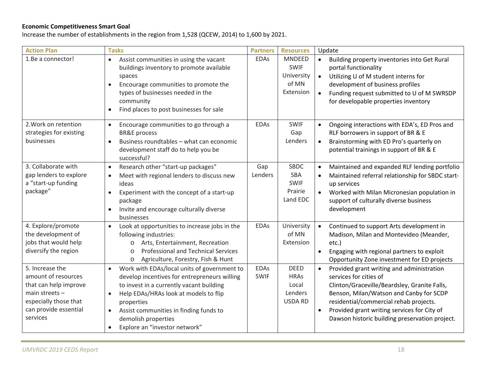### **Economic Competitiveness Smart Goal**

Increase the number of establishments in the region from 1,528 (QCEW, 2014) to 1,600 by 2021.

| <b>Action Plan</b>                                                                                                                                | <b>Tasks</b>                                                                                                                                                                                                                                                                                                                                         | <b>Partners</b>            | <b>Resources</b>                                                 | Update                                                                                                                                                                                                                                                                                                                              |
|---------------------------------------------------------------------------------------------------------------------------------------------------|------------------------------------------------------------------------------------------------------------------------------------------------------------------------------------------------------------------------------------------------------------------------------------------------------------------------------------------------------|----------------------------|------------------------------------------------------------------|-------------------------------------------------------------------------------------------------------------------------------------------------------------------------------------------------------------------------------------------------------------------------------------------------------------------------------------|
| 1.Be a connector!                                                                                                                                 | Assist communities in using the vacant<br>$\bullet$<br>buildings inventory to promote available<br>spaces<br>Encourage communities to promote the<br>types of businesses needed in the<br>community<br>Find places to post businesses for sale<br>$\bullet$                                                                                          | <b>EDAs</b>                | <b>MNDEED</b><br><b>SWIF</b><br>University<br>of MN<br>Extension | Building property inventories into Get Rural<br>$\bullet$<br>portal functionality<br>Utilizing U of M student interns for<br>$\bullet$<br>development of business profiles<br>Funding request submitted to U of M SWRSDP<br>$\bullet$<br>for developable properties inventory                                                       |
| 2. Work on retention<br>strategies for existing<br>businesses                                                                                     | Encourage communities to go through a<br>$\bullet$<br><b>BR&amp;E</b> process<br>Business roundtables - what can economic<br>development staff do to help you be<br>successful?                                                                                                                                                                      | <b>EDAs</b>                | <b>SWIF</b><br>Gap<br>Lenders                                    | Ongoing interactions with EDA's, ED Pros and<br>$\bullet$<br>RLF borrowers in support of BR & E<br>Brainstorming with ED Pro's quarterly on<br>$\bullet$<br>potential trainings in support of BR & E                                                                                                                                |
| 3. Collaborate with<br>gap lenders to explore<br>a "start-up funding<br>package"                                                                  | Research other "start-up packages"<br>$\bullet$<br>Meet with regional lenders to discuss new<br>ideas<br>Experiment with the concept of a start-up<br>$\bullet$<br>package<br>Invite and encourage culturally diverse<br>$\bullet$<br>businesses                                                                                                     | Gap<br>Lenders             | SBDC<br><b>SBA</b><br><b>SWIF</b><br>Prairie<br>Land EDC         | Maintained and expanded RLF lending portfolio<br>$\bullet$<br>Maintained referral relationship for SBDC start-<br>$\bullet$<br>up services<br>Worked with Milan Micronesian population in<br>support of culturally diverse business<br>development                                                                                  |
| 4. Explore/promote<br>the development of<br>jobs that would help<br>diversify the region                                                          | Look at opportunities to increase jobs in the<br>$\bullet$<br>following industries:<br>Arts, Entertainment, Recreation<br>$\circ$<br><b>Professional and Technical Services</b><br>$\bigcirc$<br>Agriculture, Forestry, Fish & Hunt<br>$\circ$                                                                                                       | <b>EDAs</b>                | University<br>of MN<br>Extension                                 | Continued to support Arts development in<br>$\bullet$<br>Madison, Milan and Montevideo (Meander,<br>$etc.$ )<br>Engaging with regional partners to exploit<br>$\bullet$<br>Opportunity Zone investment for ED projects                                                                                                              |
| 5. Increase the<br>amount of resources<br>that can help improve<br>main streets $-$<br>especially those that<br>can provide essential<br>services | Work with EDAs/local units of government to<br>$\bullet$<br>develop incentives for entrepreneurs willing<br>to invest in a currently vacant building<br>Help EDAs/HRAs look at models to flip<br>$\bullet$<br>properties<br>Assist communities in finding funds to<br>$\bullet$<br>demolish properties<br>Explore an "investor network"<br>$\bullet$ | <b>EDAs</b><br><b>SWIF</b> | <b>DEED</b><br><b>HRAs</b><br>Local<br>Lenders<br><b>USDA RD</b> | Provided grant writing and administration<br>$\bullet$<br>services for cities of<br>Clinton/Graceville/Beardsley, Granite Falls,<br>Benson, Milan/Watson and Canby for SCDP<br>residential/commercial rehab projects.<br>Provided grant writing services for City of<br>$\bullet$<br>Dawson historic building preservation project. |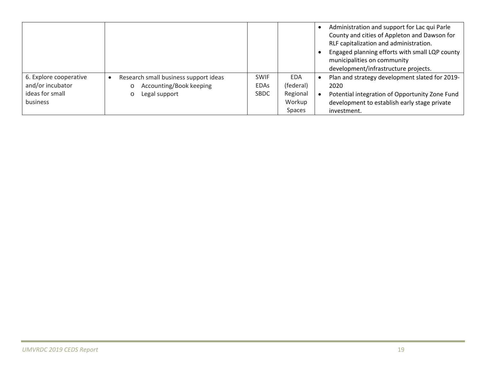|                        |                                       |             |               | Administration and support for Lac qui Parle<br>County and cities of Appleton and Dawson for<br>RLF capitalization and administration.<br>Engaged planning efforts with small LQP county<br>municipalities on community<br>development/infrastructure projects. |
|------------------------|---------------------------------------|-------------|---------------|-----------------------------------------------------------------------------------------------------------------------------------------------------------------------------------------------------------------------------------------------------------------|
| 6. Explore cooperative | Research small business support ideas | <b>SWIF</b> | EDA           | Plan and strategy development slated for 2019-                                                                                                                                                                                                                  |
| and/or incubator       | Accounting/Book keeping               | <b>EDAS</b> | (federal)     | 2020                                                                                                                                                                                                                                                            |
| ideas for small        | Legal support                         | <b>SBDC</b> | Regional      | Potential integration of Opportunity Zone Fund                                                                                                                                                                                                                  |
| business               |                                       |             | Workup        | development to establish early stage private                                                                                                                                                                                                                    |
|                        |                                       |             | <b>Spaces</b> | investment.                                                                                                                                                                                                                                                     |

m.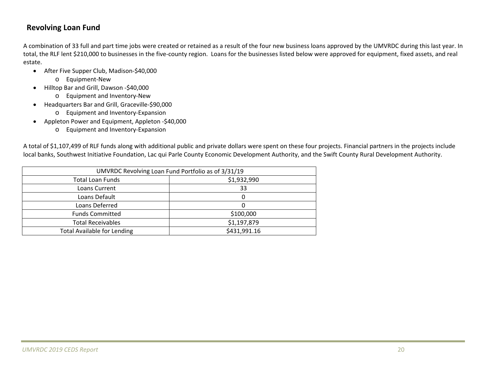### **Revolving Loan Fund**

A combination of 33 full and part time jobs were created or retained as <sup>a</sup> result of the four new business loans approved by the UMVRDC during this last year. In total, the RLF lent \$210,000 to businesses in the five-county region. Loans for the businesses listed below were approved for equipment, fixed assets, and real estate.

- After Five Supper Club, Madison-\$40,000
	- o Equipment‐New
- Hilltop Bar and Grill, Dawson -\$40,000
	- o Equipment and Inventory‐New
- $\bullet$  Headquarters Bar and Grill, Graceville‐\$90,000
	- o Equipment and Inventory‐Expansion
- Appleton Power and Equipment, Appleton -\$40,000
	- o Equipment and Inventory‐Expansion

A total of \$1,107,499 of RLF funds along with additional public and private dollars were spent on these four projects. Financial partners in the projects include local banks, Southwest Initiative Foundation, Lac qui Parle County Economic Development Authority, and the Swift County Rural Development Authority.

| UMVRDC Revolving Loan Fund Portfolio as of 3/31/19 |              |  |  |  |
|----------------------------------------------------|--------------|--|--|--|
| <b>Total Loan Funds</b>                            | \$1,932,990  |  |  |  |
| Loans Current                                      | 33           |  |  |  |
| Loans Default                                      | 0            |  |  |  |
| Loans Deferred                                     |              |  |  |  |
| <b>Funds Committed</b>                             | \$100,000    |  |  |  |
| <b>Total Receivables</b>                           | \$1,197,879  |  |  |  |
| <b>Total Available for Lending</b>                 | \$431,991.16 |  |  |  |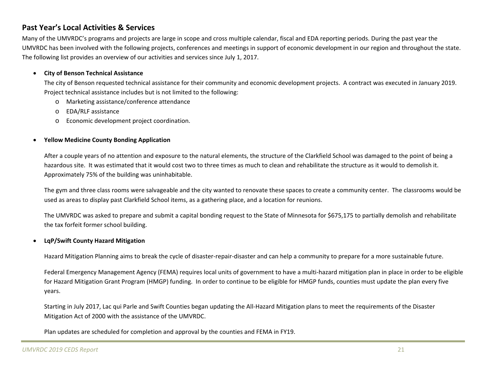### **Past Year's Local Activities & Services**

Many of the UMVRDC's programs and projects are large in scope and cross multiple calendar, fiscal and EDA reporting periods. During the past year the UMVRDC has been involved with the following projects, conferences and meetings in support of economic development in our region and throughout the state. The following list provides an overview of our activities and services since July 1, 2017.

#### $\bullet$ **City of Benson Technical Assistance**

The city of Benson requested technical assistance for their community and economic development projects. A contract was executed in January 2019. Project technical assistance includes but is not limited to the following:

- o Marketing assistance/conference attendance
- oEDA/RLF assistance
- oEconomic development project coordination.

#### 6 **Yellow Medicine County Bonding Application**

After a couple years of no attention and exposure to the natural elements, the structure of the Clarkfield School was damaged to the point of being <sup>a</sup> hazardous site. It was estimated that it would cost two to three times as much to clean and rehabilitate the structure as it would to demolish it. Approximately 75% of the building was uninhabitable.

The gym and three class rooms were salvageable and the city wanted to renovate these spaces to create <sup>a</sup> community center. The classrooms would be used as areas to display past Clarkfield School items, as <sup>a</sup> gathering place, and <sup>a</sup> location for reunions.

The UMVRDC was asked to prepare and submit <sup>a</sup> capital bonding request to the State of Minnesota for \$675,175 to partially demolish and rehabilitate the tax forfeit former school building.

#### 0 **LqP/Swift County Hazard Mitigation**

Hazard Mitigation Planning aims to break the cycle of disaster‐repair‐disaster and can help <sup>a</sup> community to prepare for <sup>a</sup> more sustainable future.

Federal Emergency Management Agency (FEMA) requires local units of government to have <sup>a</sup> multi‐hazard mitigation plan in place in order to be eligible for Hazard Mitigation Grant Program (HMGP) funding. In order to continue to be eligible for HMGP funds, counties must update the plan every five years.

Starting in July 2017, Lac qui Parle and Swift Counties began updating the All‐Hazard Mitigation plans to meet the requirements of the Disaster Mitigation Act of 2000 with the assistance of the UMVRDC.

Plan updates are scheduled for completion and approval by the counties and FEMA in FY19.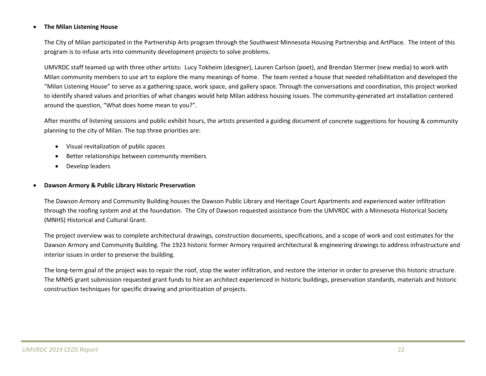#### c **The Milan Listening House**

The City of Milan participated in the Partnership Arts program through the Southwest Minnesota Housing Partnership and ArtPlace. The intent of this program is to infuse arts into community development projects to solve problems.

UMVRDC staff teamed up with three other artists: Lucy Tokheim (designer), Lauren Carlson (poet), and Brendan Stermer (new media) to work with Milan community members to use art to explore the many meanings of home. The team rented <sup>a</sup> house that needed rehabilitation and developed the "Milan Listening House" to serve as <sup>a</sup> gathering space, work space, and gallery space. Through the conversations and coordination, this project worked to identify shared values and priorities of what changes would help Milan address housing issues. The community‐generated art installation centered around the question, "What does home mean to you?".

After months of listening sessions and public exhibit hours, the artists presented <sup>a</sup> guiding document of concrete suggestions for housing & community planning to the city of Milan. The top three priorities are:

- $\bullet$ Visual revitalization of public spaces
- 0 Better relationships between community members
- $\bullet$ Develop leaders

#### 0 **Dawson Armory & Public Library Historic Preservation**

The Dawson Armory and Community Building houses the Dawson Public Library and Heritage Court Apartments and experienced water infiltration through the roofing system and at the foundation. The City of Dawson requested assistance from the UMVRDC with <sup>a</sup> Minnesota Historical Society (MNHS) Historical and Cultural Grant.

The project overview was to complete architectural drawings, construction documents, specifications, and <sup>a</sup> scope of work and cost estimates for the Dawson Armory and Community Building. The 1923 historic former Armory required architectural & engineering drawings to address infrastructure and interior issues in order to preserve the building.

The long‐term goal of the project was to repair the roof, stop the water infiltration, and restore the interior in order to preserve this historic structure. The MNHS grant submission requested grant funds to hire an architect experienced in historic buildings, preservation standards, materials and historic construction techniques for specific drawing and prioritization of projects.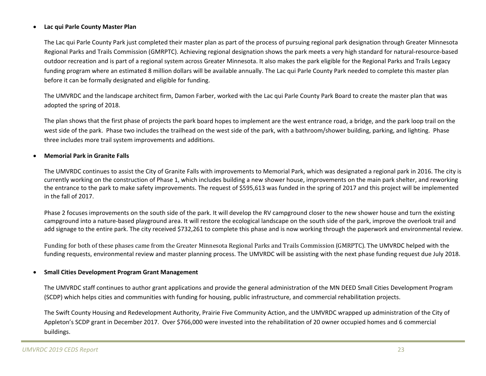#### c **Lac qui Parle County Master Plan**

The Lac qui Parle County Park just completed their master plan as part of the process of pursuing regional park designation through Greater Minnesota Regional Parks and Trails Commission (GMRPTC). Achieving regional designation shows the park meets <sup>a</sup> very high standard for natural‐resource‐based outdoor recreation and is part of <sup>a</sup> regional system across Greater Minnesota. It also makes the park eligible for the Regional Parks and Trails Legacy funding program where an estimated 8 million dollars will be available annually. The Lac qui Parle County Park needed to complete this master plan before it can be formally designated and eligible for funding.

The UMVRDC and the landscape architect firm, Damon Farber, worked with the Lac qui Parle County Park Board to create the master plan that was adopted the spring of 2018.

The plan shows that the first phase of projects the park board hopes to implement are the west entrance road, <sup>a</sup> bridge, and the park loop trail on the west side of the park. Phase two includes the trailhead on the west side of the park, with <sup>a</sup> bathroom/shower building, parking, and lighting. Phase three includes more trail system improvements and additions.

#### 0 **Memorial Park in Granite Falls**

The UMVRDC continues to assist the City of Granite Falls with improvements to Memorial Park, which was designated <sup>a</sup> regional park in 2016. The city is currently working on the construction of Phase 1, which includes building <sup>a</sup> new shower house, improvements on the main park shelter, and reworking the entrance to the park to make safety improvements. The request of \$595,613 was funded in the spring of 2017 and this project will be implemented in the fall of 2017.

Phase 2 focuses improvements on the south side of the park. It will develop the RV campground closer to the new shower house and turn the existing campground into <sup>a</sup> nature‐based playground area. It will restore the ecological landscape on the south side of the park, improve the overlook trail and add signage to the entire park. The city received \$732,261 to complete this phase and is now working through the paperwork and environmental review.

Funding for both of these phases came from the Greater Minnesota Regional Parks and Trails Commission (GMRPTC). The UMVRDC helped with the funding requests, environmental review and master planning process. The UMVRDC will be assisting with the next phase funding request due July 2018.

#### 6 **Small Cities Development Program Grant Management**

The UMVRDC staff continues to author grant applications and provide the general administration of the MN DEED Small Cities Development Program (SCDP) which helps cities and communities with funding for housing, public infrastructure, and commercial rehabilitation projects.

The Swift County Housing and Redevelopment Authority, Prairie Five Community Action, and the UMVRDC wrapped up administration of the City of Appleton's SCDP grant in December 2017. Over \$766,000 were invested into the rehabilitation of 20 owner occupied homes and 6 commercial buildings.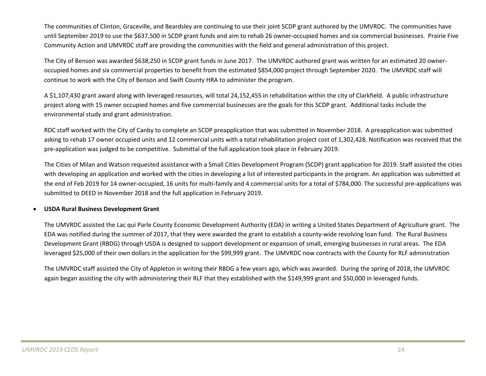The communities of Clinton, Graceville, and Beardsley are continuing to use their joint SCDP grant authored by the UMVRDC. The communities have until September 2019 to use the \$637,500 in SCDP grant funds and aim to rehab 26 owner‐occupied homes and six commercial businesses. Prairie Five Community Action and UMVRDC staff are providing the communities with the field and general administration of this project.

The City of Benson was awarded \$638,250 in SCDP grant funds in June 2017. The UMVRDC authored grant was written for an estimated 20 owner‐ occupied homes and six commercial properties to benefit from the estimated \$854,000 project through September 2020. The UMVRDC staff will continue to work with the City of Benson and Swift County HRA to administer the program.

A \$1,107,430 grant award along with leveraged resources, will total 24,152,455 in rehabilitation within the city of Clarkfield. <sup>A</sup> public infrastructure project along with 15 owner occupied homes and five commercial businesses are the goals for this SCDP grant. Additional tasks include the environmental study and grant administration.

RDC staff worked with the City of Canby to complete an SCDP preapplication that was submitted in November 2018. A preapplication was submitted asking to rehab 17 owner occupied units and 12 commercial units with <sup>a</sup> total rehabilitation project cost of 1,302,428. Notification was received that the pre‐application was judged to be competitive. Submittal of the full application took place in February 2019.

The Cities of Milan and Watson requested assistance with <sup>a</sup> Small Cities Development Program (SCDP) grant application for 2019. Staff assisted the cities with developing an application and worked with the cities in developing <sup>a</sup> list of interested participants in the program. An application was submitted at the end of Feb 2019 for <sup>14</sup> owner‐occupied, 16 units for multi‐family and <sup>4</sup> commercial units for <sup>a</sup> total of \$784,000. The successful pre‐applications was submitted to DEED in November 2018 and the full application in February 2019.

#### 0 **USDA Rural Business Development Grant**

The UMVRDC assisted the Lac qui Parle County Economic Development Authority (EDA) in writing <sup>a</sup> United States Department of Agriculture grant. The EDA was notified during the summer of 2017, that they were awarded the grant to establish <sup>a</sup> county‐wide revolving loan fund. The Rural Business Development Grant (RBDG) through USDA is designed to support development or expansion of small, emerging businesses in rural areas. The EDA leveraged \$25,000 of their own dollars in the application for the \$99,999 grant. The UMVRDC now contracts with the County for RLF administration

The UMVRDC staff assisted the City of Appleton in writing their RBDG <sup>a</sup> few years ago, which was awarded. During the spring of 2018, the UMVRDC again began assisting the city with administering their RLF that they established with the \$149,999 grant and \$50,000 in leveraged funds.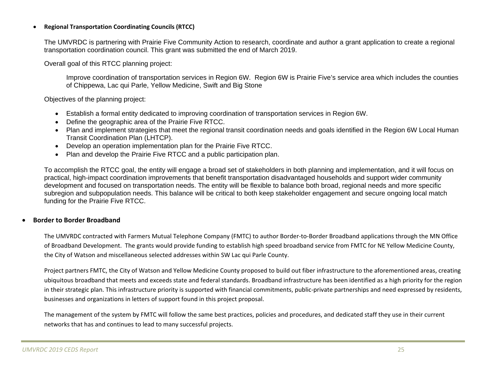#### c **Regional Transportation Coordinating Councils (RTCC)**

The UMVRDC is partnering with Prairie Five Community Action to research, coordinate and author a grant application to create a regional transportation coordination council. This grant was submitted the end of March 2019.

Overall goal of this RTCC planning project:

Improve coordination of transportation services in Region 6W. Region 6W is Prairie Five's service area which includes the counties of Chippewa, Lac qui Parle, Yellow Medicine, Swift and Big Stone

Objectives of the planning project:

- Establish a formal entity dedicated to improving coordination of transportation services in Region 6W.
- Define the geographic area of the Prairie Five RTCC.
- Plan and implement strategies that meet the regional transit coordination needs and goals identified in the Region 6W Local Human Transit Coordination Plan (LHTCP).
- Develop an operation implementation plan for the Prairie Five RTCC.
- Plan and develop the Prairie Five RTCC and a public participation plan.

To accomplish the RTCC goal, the entity will engage a broad set of stakeholders in both planning and implementation, and it will focus on practical, high-impact coordination improvements that benefit transportation disadvantaged households and support wider community development and focused on transportation needs. The entity will be flexible to balance both broad, regional needs and more specific subregion and subpopulation needs. This balance will be critical to both keep stakeholder engagement and secure ongoing local match funding for the Prairie Five RTCC.

#### 0 **Border to Border Broadband**

The UMVRDC contracted with Farmers Mutual Telephone Company (FMTC) to author Border‐to‐Border Broadband applications through the MN Office of Broadband Development. The grants would provide funding to establish high speed broadband service from FMTC for NE Yellow Medicine County, the City of Watson and miscellaneous selected addresses within SW Lac qui Parle County.

Project partners FMTC, the City of Watson and Yellow Medicine County proposed to build out fiber infrastructure to the aforementioned areas, creating ubiquitous broadband that meets and exceeds state and federal standards. Broadband infrastructure has been identified as <sup>a</sup> high priority for the region in their strategic plan. This infrastructure priority is supported with financial commitments, public‐private partnerships and need expressed by residents, businesses and organizations in letters of support found in this project proposal.

The management of the system by FMTC will follow the same best practices, policies and procedures, and dedicated staff they use in their current networks that has and continues to lead to many successful projects.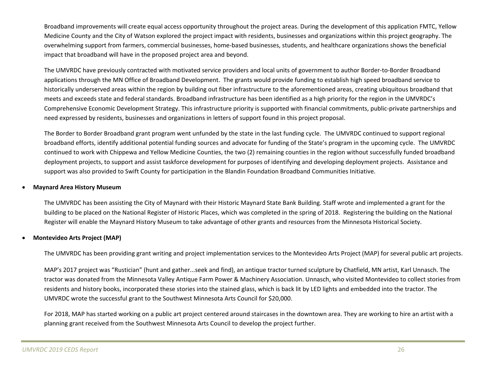Broadband improvements will create equal access opportunity throughout the project areas. During the development of this application FMTC, Yellow Medicine County and the City of Watson explored the project impact with residents, businesses and organizations within this project geography. The overwhelming support from farmers, commercial businesses, home‐based businesses, students, and healthcare organizations shows the beneficial impact that broadband will have in the proposed project area and beyond.

The UMVRDC have previously contracted with motivated service providers and local units of government to author Border‐to‐Border Broadband applications through the MN Office of Broadband Development. The grants would provide funding to establish high speed broadband service to historically underserved areas within the region by building out fiber infrastructure to the aforementioned areas, creating ubiquitous broadband that meets and exceeds state and federal standards. Broadband infrastructure has been identified as <sup>a</sup> high priority for the region in the UMVRDC's Comprehensive Economic Development Strategy. This infrastructure priority is supported with financial commitments, public‐private partnerships and need expressed by residents, businesses and organizations in letters of support found in this project proposal.

The Border to Border Broadband grant program went unfunded by the state in the last funding cycle. The UMVRDC continued to support regional broadband efforts, identify additional potential funding sources and advocate for funding of the State's program in the upcoming cycle. The UMVRDC continued to work with Chippewa and Yellow Medicine Counties, the two (2) remaining counties in the region without successfully funded broadband deployment projects, to support and assist taskforce development for purposes of identifying and developing deployment projects. Assistance and support was also provided to Swift County for participation in the Blandin Foundation Broadband Communities Initiative.

#### 0 **Maynard Area History Museum**

The UMVRDC has been assisting the City of Maynard with their Historic Maynard State Bank Building. Staff wrote and implemented <sup>a</sup> grant for the building to be placed on the National Register of Historic Places, which was completed in the spring of 2018. Registering the building on the National Register will enable the Maynard History Museum to take advantage of other grants and resources from the Minnesota Historical Society.

#### $\bullet$ **Montevideo Arts Project (MAP)**

The UMVRDC has been providing grant writing and project implementation services to the Montevideo Arts Project (MAP) for several public art projects.

MAP's 2017 project was "Rustician" (hunt and gather...seek and find), an antique tractor turned sculpture by Chatfield, MN artist, Karl Unnasch. The tractor was donated from the Minnesota Valley Antique Farm Power & Machinery Association. Unnasch, who visited Montevideo to collect stories from residents and history books, incorporated these stories into the stained glass, which is back lit by LED lights and embedded into the tractor. The UMVRDC wrote the successful grant to the Southwest Minnesota Arts Council for \$20,000.

For 2018, MAP has started working on <sup>a</sup> public art project centered around staircases in the downtown area. They are working to hire an artist with <sup>a</sup> planning grant received from the Southwest Minnesota Arts Council to develop the project further.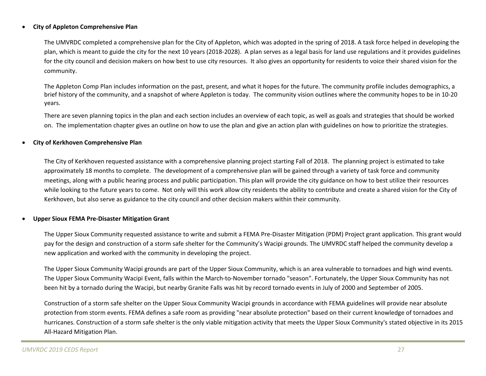#### $\bullet$ **City of Appleton Comprehensive Plan**

The UMVRDC completed <sup>a</sup> comprehensive plan for the City of Appleton, which was adopted in the spring of 2018. A task force helped in developing the plan, which is meant to guide the city for the next 10 years (2018‐2028). A plan serves as <sup>a</sup> legal basis for land use regulations and it provides guidelines for the city council and decision makers on how best to use city resources. It also gives an opportunity for residents to voice their shared vision for the community.

The Appleton Comp Plan includes information on the past, present, and what it hopes for the future. The community profile includes demographics, <sup>a</sup> brief history of the community, and <sup>a</sup> snapshot of where Appleton is today. The community vision outlines where the community hopes to be in 10‐20 years.

There are seven planning topics in the plan and each section includes an overview of each topic, as well as goals and strategies that should be worked on. The implementation chapter gives an outline on how to use the plan and give an action plan with guidelines on how to prioritize the strategies.

#### $\bullet$ **City of Kerkhoven Comprehensive Plan**

The City of Kerkhoven requested assistance with <sup>a</sup> comprehensive planning project starting Fall of 2018. The planning project is estimated to take approximately 18 months to complete. The development of <sup>a</sup> comprehensive plan will be gained through <sup>a</sup> variety of task force and community meetings, along with <sup>a</sup> public hearing process and public participation. This plan will provide the city guidance on how to best utilize their resources while looking to the future years to come. Not only will this work allow city residents the ability to contribute and create <sup>a</sup> shared vision for the City of Kerkhoven, but also serve as guidance to the city council and other decision makers within their community.

#### 0 **Upper Sioux FEMA Pre‐Disaster Mitigation Grant**

The Upper Sioux Community requested assistance to write and submit <sup>a</sup> FEMA Pre‐Disaster Mitigation (PDM) Project grant application. This grant would pay for the design and construction of <sup>a</sup> storm safe shelter for the Community's Wacipi grounds. The UMVRDC staff helped the community develop <sup>a</sup> new application and worked with the community in developing the project.

The Upper Sioux Community Wacipi grounds are part of the Upper Sioux Community, which is an area vulnerable to tornadoes and high wind events. The Upper Sioux Community Wacipi Event, falls within the March‐to‐November tornado "season". Fortunately, the Upper Sioux Community has not been hit by <sup>a</sup> tornado during the Wacipi, but nearby Granite Falls was hit by record tornado events in July of 2000 and September of 2005.

Construction of <sup>a</sup> storm safe shelter on the Upper Sioux Community Wacipi grounds in accordance with FEMA guidelines will provide near absolute protection from storm events. FEMA defines <sup>a</sup> safe room as providing "near absolute protection" based on their current knowledge of tornadoes and hurricanes. Construction of <sup>a</sup> storm safe shelter is the only viable mitigation activity that meets the Upper Sioux Community's stated objective in its 2015 All‐Hazard Mitigation Plan.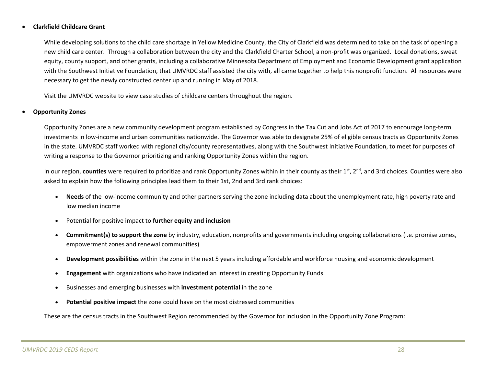#### $\bullet$ **Clarkfield Childcare Grant**

While developing solutions to the child care shortage in Yellow Medicine County, the City of Clarkfield was determined to take on the task of opening <sup>a</sup> new child care center. Through <sup>a</sup> collaboration between the city and the Clarkfield Charter School, <sup>a</sup> non‐profit was organized. Local donations, sweat equity, county support, and other grants, including <sup>a</sup> collaborative Minnesota Department of Employment and Economic Development grant application with the Southwest Initiative Foundation, that UMVRDC staff assisted the city with, all came together to help this nonprofit function. All resources were necessary to get the newly constructed center up and running in May of 2018.

Visit the UMVRDC website to view case studies of childcare centers throughout the region.

#### 0 **Opportunity Zones**

Opportunity Zones are <sup>a</sup> new community development program established by Congress in the Tax Cut and Jobs Act of 2017 to encourage long‐term investments in low‐income and urban communities nationwide. The Governor was able to designate 25% of eligible census tracts as Opportunity Zones in the state. UMVRDC staff worked with regional city/county representatives, along with the Southwest Initiative Foundation, to meet for purposes of writing <sup>a</sup> response to the Governor prioritizing and ranking Opportunity Zones within the region.

In our region, **counties** were required to prioritize and rank Opportunity Zones within in their county as their 1<sup>st</sup>, 2<sup>nd</sup>, and 3rd choices. Counties were also asked to explain how the following principles lead them to their 1st, 2nd and 3rd rank choices:

- $\bullet$ ● Needs of the low-income community and other partners serving the zone including data about the unemployment rate, high poverty rate and low median income
- $\bullet$ Potential for positive impact to **further equity and inclusion**
- $\bullet$  **Commitment(s) to support the zone** by industry, education, nonprofits and governments including ongoing collaborations (i.e. promise zones, empowerment zones and renewal communities)
- $\bullet$ **Development possibilities** within the zone in the next 5 years including affordable and workforce housing and economic development
- $\bullet$ **Engagement** with organizations who have indicated an interest in creating Opportunity Funds
- $\bullet$ Businesses and emerging businesses with **investment potential** in the zone
- c **Potential positive impact** the zone could have on the most distressed communities

These are the census tracts in the Southwest Region recommended by the Governor for inclusion in the Opportunity Zone Program: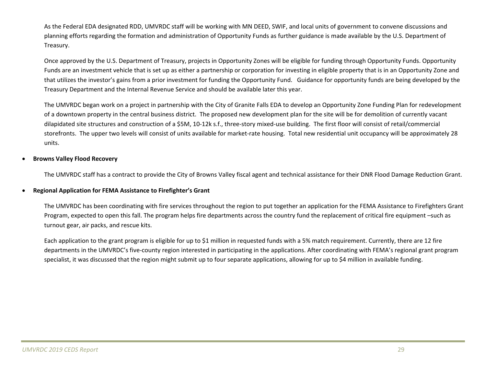As the Federal EDA designated RDD, UMVRDC staff will be working with MN DEED, SWIF, and local units of government to convene discussions and planning efforts regarding the formation and administration of Opportunity Funds as further guidance is made available by the U.S. Department of Treasury.

Once approved by the U.S. Department of Treasury, projects in Opportunity Zones will be eligible for funding through Opportunity Funds. Opportunity Funds are an investment vehicle that is set up as either <sup>a</sup> partnership or corporation for investing in eligible property that is in an Opportunity Zone and that utilizes the investor's gains from <sup>a</sup> prior investment for funding the Opportunity Fund. Guidance for opportunity funds are being developed by the Treasury Department and the Internal Revenue Service and should be available later this year.

The UMVRDC began work on <sup>a</sup> project in partnership with the City of Granite Falls EDA to develop an Opportunity Zone Funding Plan for redevelopment of a downtown property in the central business district. The proposed new development plan for the site will be for demolition of currently vacant dilapidated site structures and construction of <sup>a</sup> \$5M, 10‐12k s.f., three‐story mixed‐use building. The first floor will consist of retail/commercial storefronts. The upper two levels will consist of units available for market‐rate housing. Total new residential unit occupancy will be approximately 28 units.

#### 0 **Browns Valley Flood Recovery**

The UMVRDC staff has <sup>a</sup> contract to provide the City of Browns Valley fiscal agent and technical assistance for their DNR Flood Damage Reduction Grant.

#### 0 **Regional Application for FEMA Assistance to Firefighter's Grant**

The UMVRDC has been coordinating with fire services throughout the region to put together an application for the FEMA Assistance to Firefighters Grant Program, expected to open this fall. The program helps fire departments across the country fund the replacement of critical fire equipment –such as turnout gear, air packs, and rescue kits.

Each application to the grant program is eligible for up to \$1 million in requested funds with <sup>a</sup> 5% match requirement. Currently, there are <sup>12</sup> fire departments in the UMVRDC's five‐county region interested in participating in the applications. After coordinating with FEMA's regional grant program specialist, it was discussed that the region might submit up to four separate applications, allowing for up to \$4 million in available funding.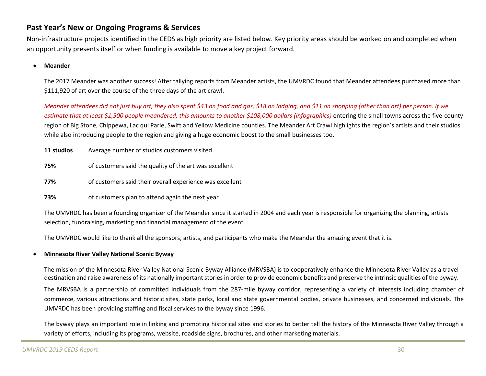### **Past Year's New or Ongoing Programs & Services**

Non‐infrastructure projects identified in the CEDS as high priority are listed below. Key priority areas should be worked on and completed when an opportunity presents itself or when funding is available to move <sup>a</sup> key project forward.

#### c **Meander**

The 2017 Meander was another success! After tallying reports from Meander artists, the UMVRDC found that Meander attendees purchased more than \$111,920 of art over the course of the three days of the art crawl.

Meander attendees did not just buy art, they also spent \$43 on food and gas, \$18 on lodging, and \$11 on shopping (other than art) per person. If we estimate that at least \$1,500 people meandered, this amounts to another \$108,000 dollars (infographics) entering the small towns across the five-county region of Big Stone, Chippewa, Lac qui Parle, Swift and Yellow Medicine counties. The Meander Art Crawl highlights the region's artists and their studios while also introducing people to the region and giving <sup>a</sup> huge economic boost to the small businesses too.

| 11 studios | Average number of studios customers visited              |  |
|------------|----------------------------------------------------------|--|
| 75%        | of customers said the quality of the art was excellent   |  |
| 77%        | of customers said their overall experience was excellent |  |
| 73%        | of customers plan to attend again the next year          |  |

The UMVRDC has been <sup>a</sup> founding organizer of the Meander since it started in 2004 and each year is responsible for organizing the planning, artists selection, fundraising, marketing and financial management of the event.

The UMVRDC would like to thank all the sponsors, artists, and participants who make the Meander the amazing event that it is.

#### 0 **Minnesota River Valley National Scenic Byway**

The mission of the Minnesota River Valley National Scenic Byway Alliance (MRVSBA) is to cooperatively enhance the Minnesota River Valley as <sup>a</sup> travel destination and raise awareness of its nationally important stories in order to provide economic benefits and preserve the intrinsic qualities of the byway.

The MRVSBA is <sup>a</sup> partnership of committed individuals from the 287‐mile byway corridor, representing <sup>a</sup> variety of interests including chamber of commerce, various attractions and historic sites, state parks, local and state governmental bodies, private businesses, and concerned individuals. The UMVRDC has been providing staffing and fiscal services to the byway since 1996.

The byway plays an important role in linking and promoting historical sites and stories to better tell the history of the Minnesota River Valley through <sup>a</sup> variety of efforts, including its programs, website, roadside signs, brochures, and other marketing materials.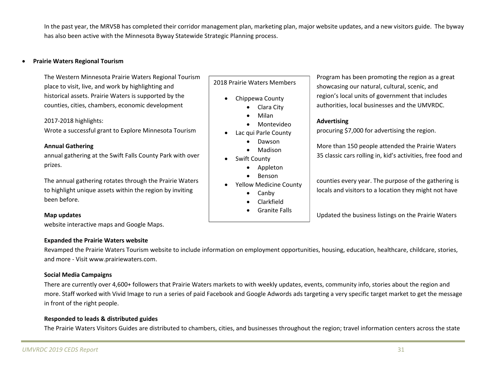In the past year, the MRVSB has completed their corridor management plan, marketing plan, major website updates, and <sup>a</sup> new visitors guide. The byway has also been active with the Minnesota Byway Statewide Strategic Planning process.

#### 0 **Prairie Waters Regional Tourism**

The Westernplace to visit, live, and work by highlighting and showcasing our natural, cultural, scenic, and place to visit, live, and work by highlighting and historical assets. Prairiecounties, cities, chambers, economic development  $\Box$   $\Box$   $\Box$  Clara City  $\Box$  authorities, local businesses and the UMVRDC.

### 2017‐2018 highlights: **Advertising**

Wrote a successful grant to Explore Minnesota Tourism  $\parallel$  e Lacqui Parle County procuring \$7,000 for advertising the region.

### **Annual**

annual gathering at the Swift Falls County Park with over prizes.

The annual gathering rotates through the Prairie Waters to highlight unique assets within the region by inviting local states and visitors to a location they might not have been before.

website interactive maps and Google Maps.

### **Expanded the Prairie Waters website**

Revamped the Prairie Waters Tourism website to include information on employment opportunities, housing, education, healthcare, childcare, stories, and more ‐ Visit www.prairiewaters.com.

### **Social Media Campaigns**

There are currently over 4,600+ followers that Prairie Waters markets to with weekly updates, events, community info, stories about the region and more. Staff worked with Vivid Image to run <sup>a</sup> series of paid Facebook and Google Adwords ads targeting <sup>a</sup> very specific target market to get the message in front of the right people.

### **Responded to leads & distributed guides**

The Prairie Waters Visitors Guides are distributed to chambers, cities, and businesses throughout the region; travel information centers across the state

### 2018 Prairie Waters Members

- 0 Chippewa County
- Clara City
	- 0 Milan
	- 0 Montevideo
- 0 Lac qui Parle County
	- 0 Dawson
	- 0 Madison
- 0 Swift County
	- 0 Appleton
	- 0 Benson
- 0 Yellow Medicine County
	- Canby
	- 0 Clarkfield
	- 0 **•** Granite Falls

Program has been promoting the region as a great region's local units of government that includes

 **Gathering** More than 150 people attended the Prairie Waters 35 classic cars rolling in, kid's activities, free food and

counties every year. The purpose of the gathering is

**Map updates** Updates **Map updates** Updated the business listings on the Prairie Waters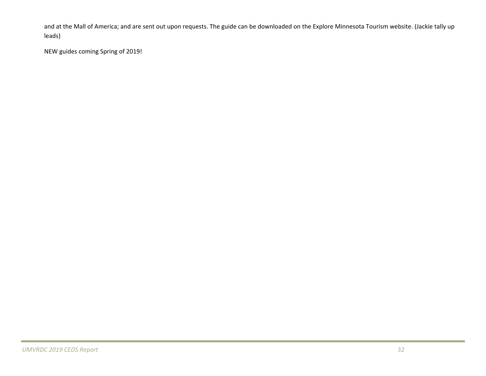and at the Mall of America; and are sent out upon requests. The guide can be downloaded on the Explore Minnesota Tourism website. (Jackie tally up leads)

NEW guides coming Spring of 2019!